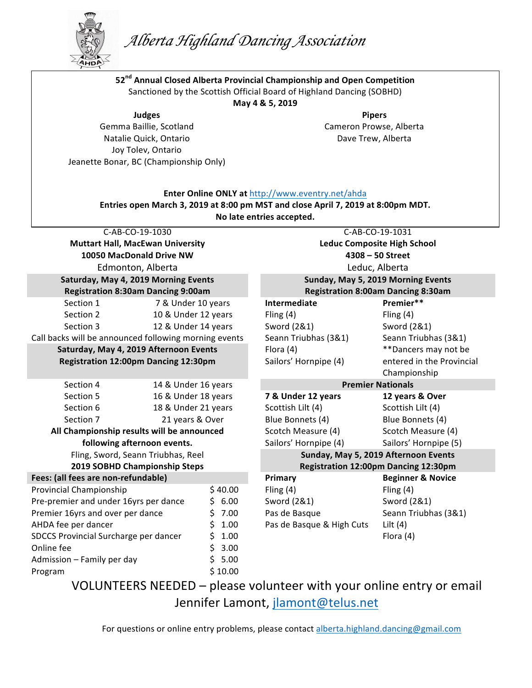## *Alberta Highland Dancing Association*

**52nd Annual Closed Alberta Provincial Championship and Open Competition**



**AHD AHD** C-AB-CO-19-1030 **Muttart Hall, MacEwan University 10050 MacDonald Drive NW** Edmonton, Alberta C-AB-CO-19-1031 **Leduc Composite High School 4308 – 50 Street** Leduc, Alberta **Saturday, May 4, 2019 Morning Events Registration 8:30am Dancing 9:00am Sunday, May 5, 2019 Morning Events Registration 8:00am Dancing 8:30am** Section 1 **7** & Under 10 years **Intermediate Premier\*\*** Section 2 10 & Under 12 years Fling (4) Fling (4) Section 3 12 & Under 14 years Sword (2&1) Sword (2&1) Call backs will be announced following morning events Seann Triubhas (3&1) Seann Triubhas (3&1) **Saturday, May 4, 2019 Afternoon Events Registration 12:00pm Dancing 12:30pm** Flora (4) **\*\*Dancers** may not be entered in the Provincial Championship Sailors' Hornpipe (4) Section 4 14 & Under 16 years **Premier Nationals** Section 5 16 & Under 18 years **7 & Under 12 years 12 years & Over** Section 6 18 & Under 21 years Scottish Lilt (4) Scottish Lilt (4) Section 7 **21** years & Over **Blue Bonnets (4)** Blue Bonnets (4) All Championship results will be announced **following afternoon events.** Scotch Measure (4) Scotch Measure (4) Sailors' Hornpipe (4) Sailors' Hornpipe (5) Fling, Sword, Seann Triubhas, Reel **2019 SOBHD Championship Steps Sunday, May 5, 2019 Afternoon Events Registration 12:00pm Dancing 12:30pm Fees:** (all fees are non-refundable) *Primary* **Beginner & Novice Beginner** & Novice Provincial Championship  $$40.00$  Fling (4) Fling (4) Fling (4) Pre-premier and under 16yrs per dance Premier 16yrs and over per dance  $$6.00$  $$7.00$ Sword (2&1) Pas de Basque Sword (2&1) Seann Triubhas (3&1) AHDA fee per dancer **1.00** AHDA fee per dancer **by Almaching State State** State Basque & High Cuts Lilt (4) SDCCS Provincial Surcharge per dancer  $\qquad \qquad$  \$ 1.00 Flora (4) Online fee Admission  $-$  Family per day  $$3.00$  $$5.00$ Program  $\frac{1}{2}$  10.00 Sanctioned by the Scottish Official Board of Highland Dancing (SOBHD) **May 4 & 5, 2019 Judges** Gemma Baillie, Scotland Natalie Quick, Ontario Joy Tolev, Ontario Jeanette Bonar, BC (Championship Only) **Pipers** Cameron Prowse, Alberta Dave Trew, Alberta **Enter Online ONLY at http://www.eventry.net/ahda Entries open March 3, 2019 at 8:00 pm MST and close April 7, 2019 at 8:00pm MDT. No late entries accepted.** 

VOLUNTEERS NEEDED – please volunteer with your online entry or email Jennifer Lamont, jlamont@telus.net

For questions or online entry problems, please contact alberta.highland.dancing@gmail.com